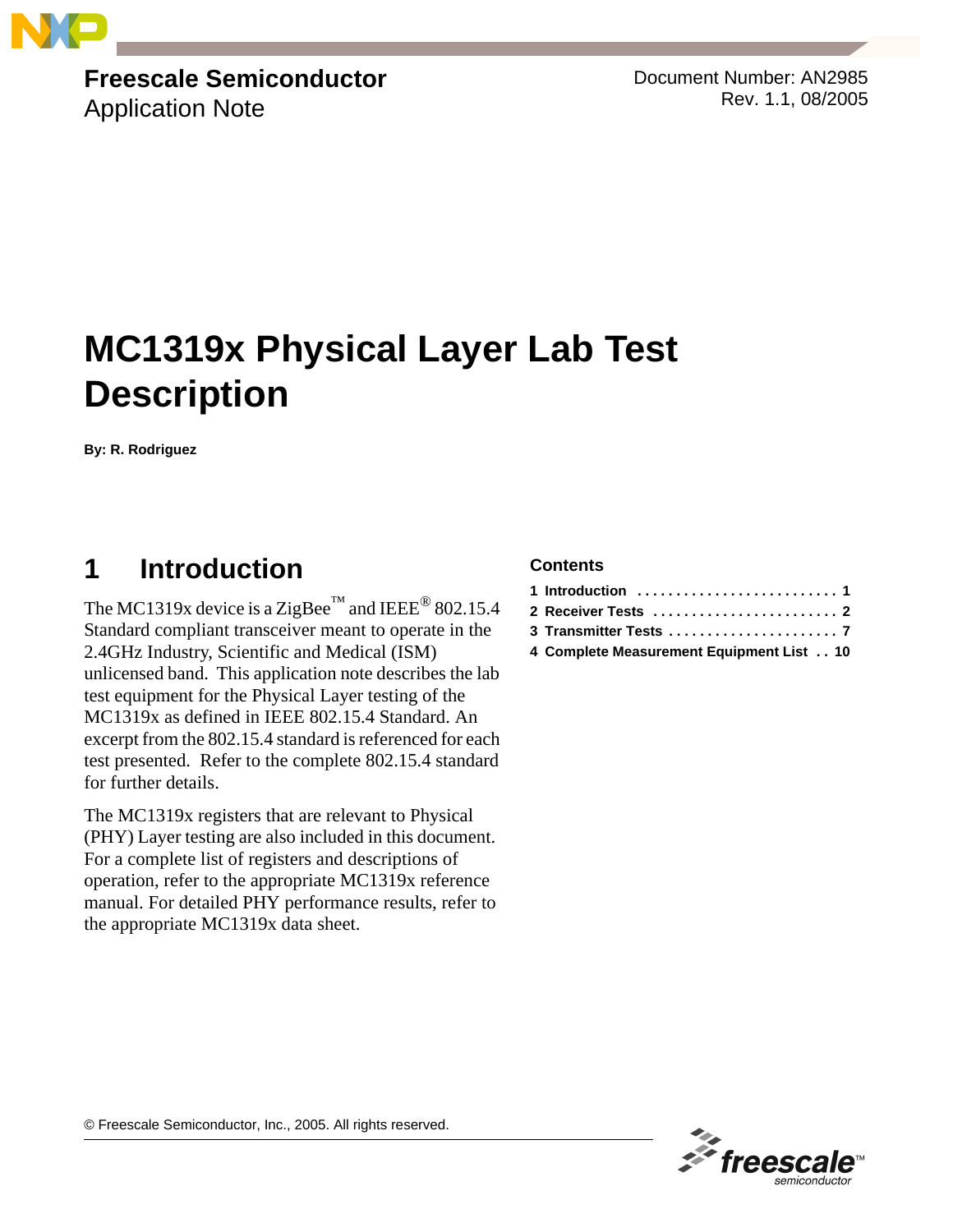

# **Freescale Semiconductor**

Application Note

Document Number: AN2985 Rev. 1.1, 08/2005

# **MC1319x Physical Layer Lab Test Description**

**By: R. Rodriguez**

# <span id="page-0-0"></span>**1 Introduction**

The MC1319x device is a ZigBee<sup>™</sup> and IEEE<sup>®</sup> 802.15.4 Standard compliant transceiver meant to operate in the 2.4GHz Industry, Scientific and Medical (ISM) unlicensed band. This application note describes the lab test equipment for the Physical Layer testing of the MC1319x as defined in IEEE 802.15.4 Standard. An excerpt from the 802.15.4 standard is referenced for each test presented. Refer to the complete 802.15.4 standard for further details.

The MC1319x registers that are relevant to Physical (PHY) Layer testing are also included in this document. For a complete list of registers and descriptions of operation, refer to the appropriate MC1319x reference manual. For detailed PHY performance results, refer to the appropriate MC1319x data sheet.

#### **Contents**

| 4 Complete Measurement Equipment List 10 |  |
|------------------------------------------|--|

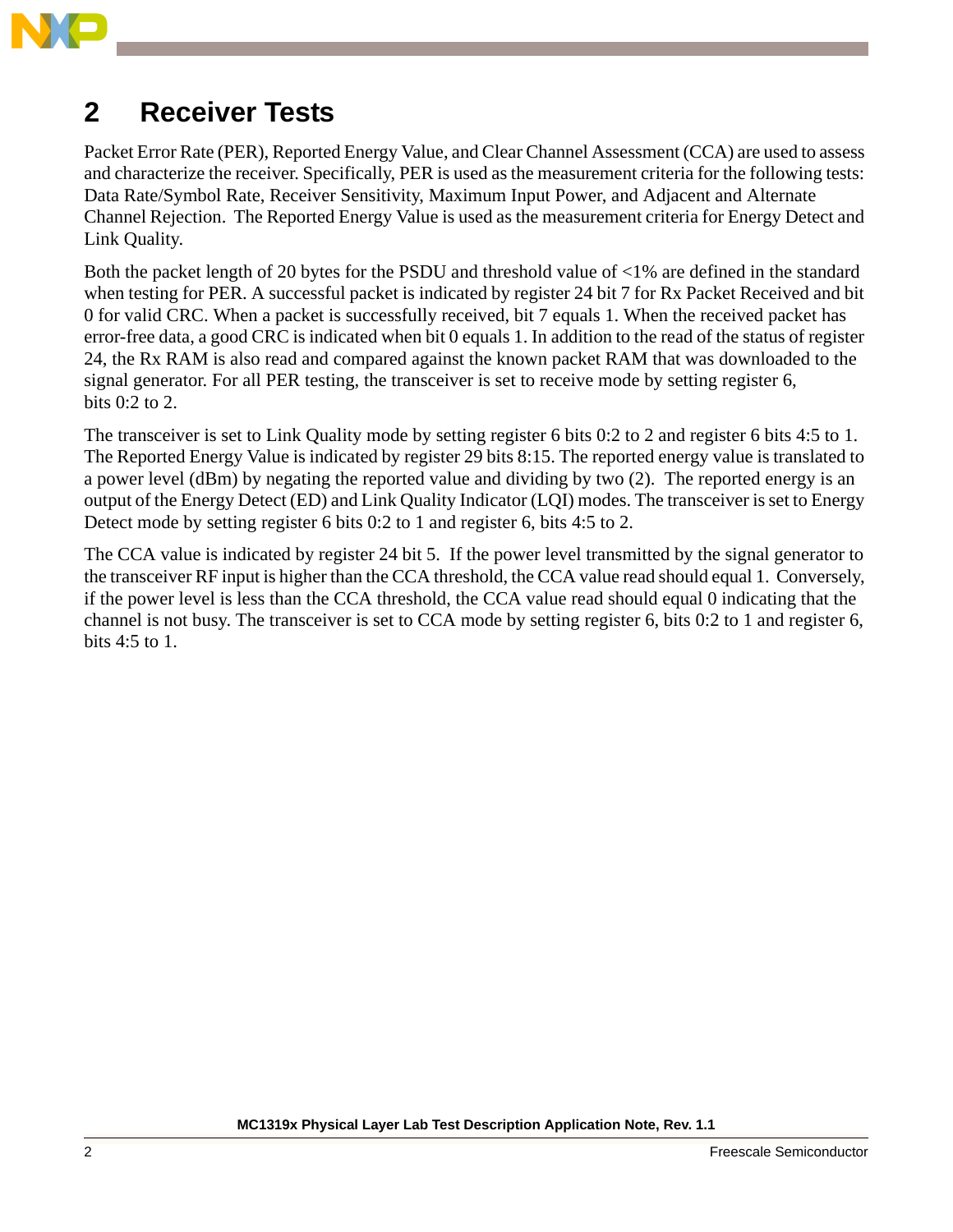

# <span id="page-1-0"></span>**2 Receiver Tests**

Packet Error Rate (PER), Reported Energy Value, and Clear Channel Assessment (CCA) are used to assess and characterize the receiver. Specifically, PER is used as the measurement criteria for the following tests: Data Rate/Symbol Rate, Receiver Sensitivity, Maximum Input Power, and Adjacent and Alternate Channel Rejection. The Reported Energy Value is used as the measurement criteria for Energy Detect and Link Quality.

Both the packet length of 20 bytes for the PSDU and threshold value of <1% are defined in the standard when testing for PER. A successful packet is indicated by register 24 bit 7 for Rx Packet Received and bit 0 for valid CRC. When a packet is successfully received, bit 7 equals 1. When the received packet has error-free data, a good CRC is indicated when bit 0 equals 1. In addition to the read of the status of register 24, the Rx RAM is also read and compared against the known packet RAM that was downloaded to the signal generator. For all PER testing, the transceiver is set to receive mode by setting register 6, bits 0:2 to 2.

The transceiver is set to Link Quality mode by setting register 6 bits 0:2 to 2 and register 6 bits 4:5 to 1. The Reported Energy Value is indicated by register 29 bits 8:15. The reported energy value is translated to a power level (dBm) by negating the reported value and dividing by two (2). The reported energy is an output of the Energy Detect (ED) and Link Quality Indicator (LQI) modes. The transceiver is set to Energy Detect mode by setting register 6 bits 0:2 to 1 and register 6, bits 4:5 to 2.

The CCA value is indicated by register 24 bit 5. If the power level transmitted by the signal generator to the transceiver RF input is higher than the CCA threshold, the CCA value read should equal 1. Conversely, if the power level is less than the CCA threshold, the CCA value read should equal 0 indicating that the channel is not busy. The transceiver is set to CCA mode by setting register 6, bits 0:2 to 1 and register 6, bits 4:5 to 1.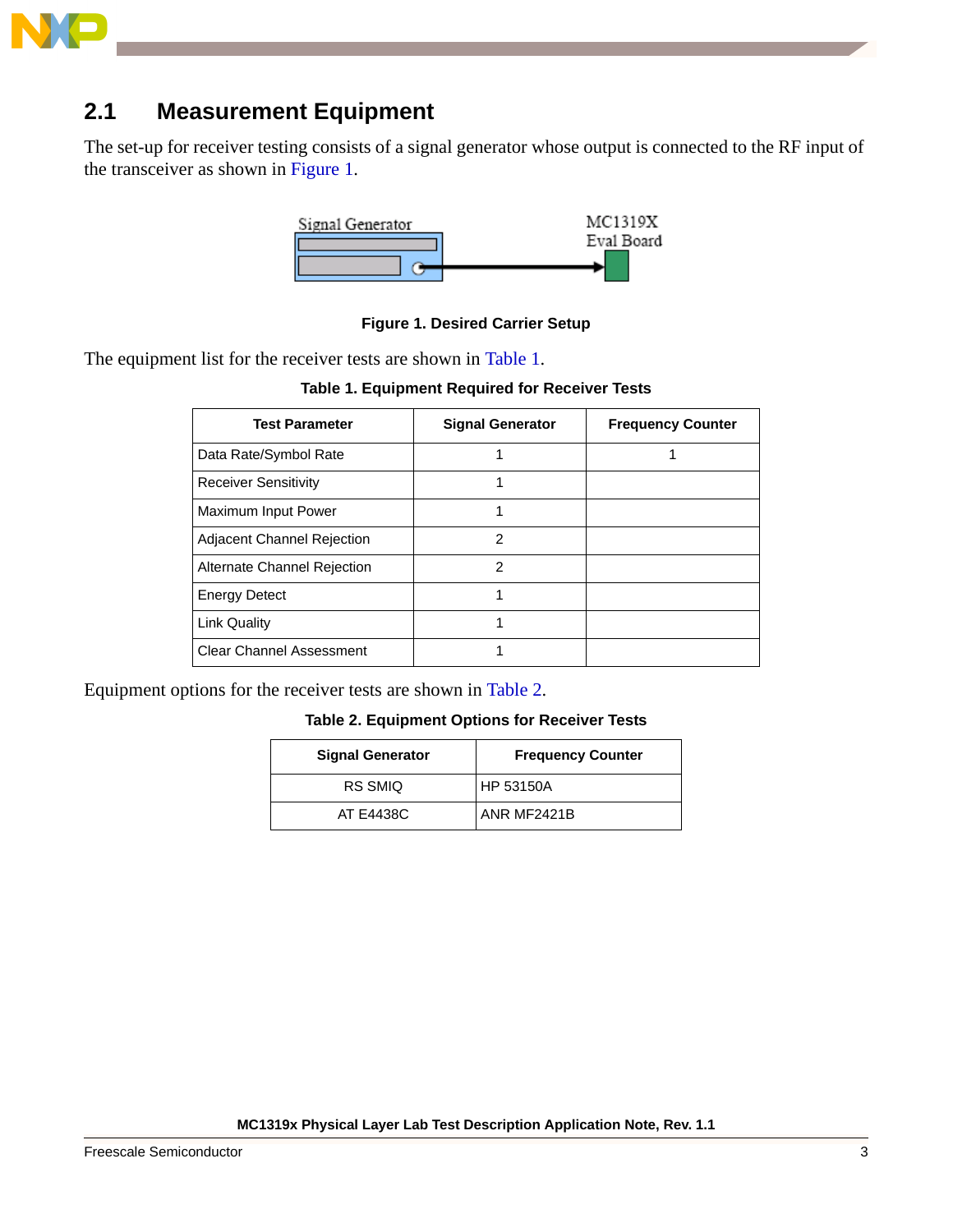

# **2.1 Measurement Equipment**

The set-up for receiver testing consists of a signal generator whose output is connected to the RF input of the transceiver as shown in [Figure 1](#page-2-0).



#### **Figure 1. Desired Carrier Setup**

<span id="page-2-1"></span><span id="page-2-0"></span>The equipment list for the receiver tests are shown in [Table 1](#page-2-1).

**Table 1. Equipment Required for Receiver Tests**

| <b>Test Parameter</b>             | <b>Signal Generator</b> | <b>Frequency Counter</b> |
|-----------------------------------|-------------------------|--------------------------|
| Data Rate/Symbol Rate             |                         |                          |
| <b>Receiver Sensitivity</b>       |                         |                          |
| Maximum Input Power               |                         |                          |
| <b>Adjacent Channel Rejection</b> | 2                       |                          |
| Alternate Channel Rejection       | 2                       |                          |
| <b>Energy Detect</b>              | 1                       |                          |
| <b>Link Quality</b>               | 1                       |                          |
| <b>Clear Channel Assessment</b>   |                         |                          |

<span id="page-2-2"></span>Equipment options for the receiver tests are shown in [Table 2](#page-2-2).

#### **Table 2. Equipment Options for Receiver Tests**

| <b>Signal Generator</b> | <b>Frequency Counter</b> |
|-------------------------|--------------------------|
| RS SMIQ                 | HP 53150A                |
| AT E4438C               | ANR MF2421B              |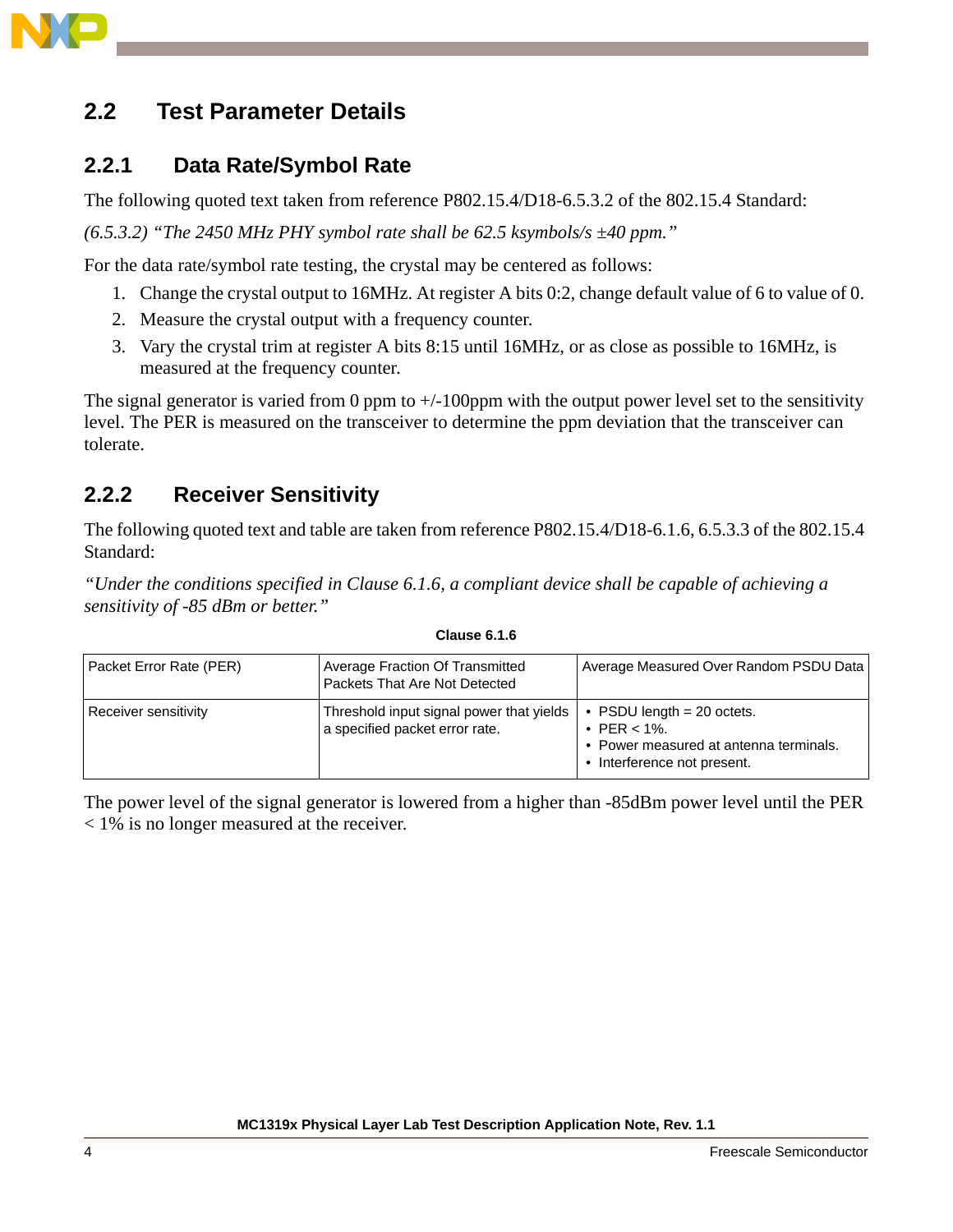

## **2.2 Test Parameter Details**

### **2.2.1 Data Rate/Symbol Rate**

The following quoted text taken from reference P802.15.4/D18-6.5.3.2 of the 802.15.4 Standard:

*(6.5.3.2) "The 2450 MHz PHY symbol rate shall be 62.5 ksymbols/s ±40 ppm."* 

For the data rate/symbol rate testing, the crystal may be centered as follows:

- 1. Change the crystal output to 16MHz. At register A bits 0:2, change default value of 6 to value of 0.
- 2. Measure the crystal output with a frequency counter.
- 3. Vary the crystal trim at register A bits 8:15 until 16MHz, or as close as possible to 16MHz, is measured at the frequency counter.

The signal generator is varied from 0 ppm to  $+/-100$  pm with the output power level set to the sensitivity level. The PER is measured on the transceiver to determine the ppm deviation that the transceiver can tolerate.

## **2.2.2 Receiver Sensitivity**

The following quoted text and table are taken from reference P802.15.4/D18-6.1.6, 6.5.3.3 of the 802.15.4 Standard:

*"Under the conditions specified in Clause 6.1.6, a compliant device shall be capable of achieving a sensitivity of -85 dBm or better."*

| Packet Error Rate (PER) | Average Fraction Of Transmitted<br>Packets That Are Not Detected           | Average Measured Over Random PSDU Data                                                                                   |  |
|-------------------------|----------------------------------------------------------------------------|--------------------------------------------------------------------------------------------------------------------------|--|
| Receiver sensitivity    | Threshold input signal power that yields<br>a specified packet error rate. | • PSDU length $= 20$ octets.<br>• PER $< 1\%$ .<br>• Power measured at antenna terminals.<br>• Interference not present. |  |

#### **Clause 6.1.6**

The power level of the signal generator is lowered from a higher than -85dBm power level until the PER < 1% is no longer measured at the receiver.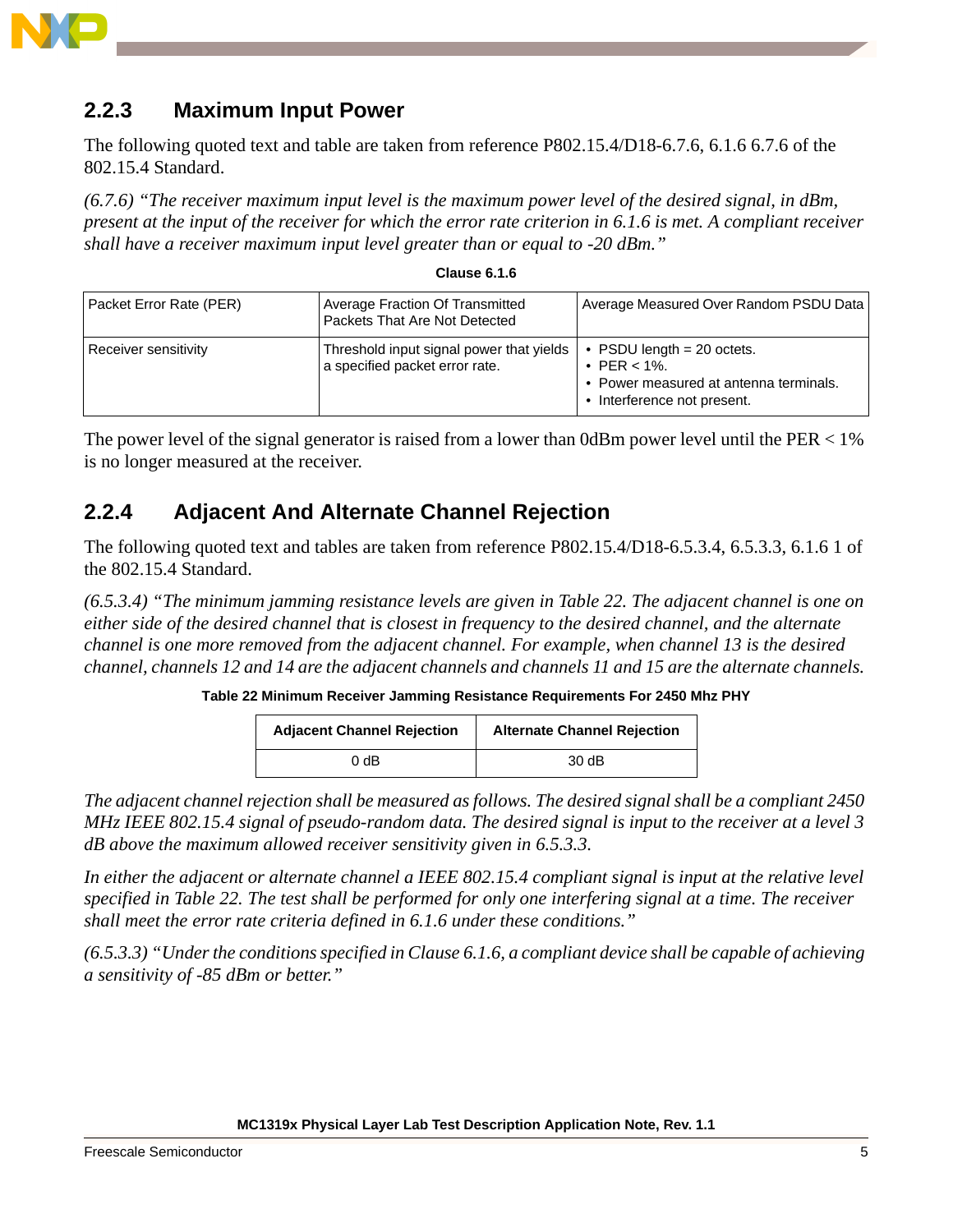

## **2.2.3 Maximum Input Power**

The following quoted text and table are taken from reference P802.15.4/D18-6.7.6, 6.1.6 6.7.6 of the 802.15.4 Standard.

*(6.7.6) "The receiver maximum input level is the maximum power level of the desired signal, in dBm, present at the input of the receiver for which the error rate criterion in 6.1.6 is met. A compliant receiver shall have a receiver maximum input level greater than or equal to -20 dBm."*

| <b>Clause 6.1.6</b> |  |
|---------------------|--|
|                     |  |

| Packet Error Rate (PER) | Average Fraction Of Transmitted<br>Packets That Are Not Detected           | Average Measured Over Random PSDU Data                                                                                   |  |
|-------------------------|----------------------------------------------------------------------------|--------------------------------------------------------------------------------------------------------------------------|--|
| Receiver sensitivity    | Threshold input signal power that yields<br>a specified packet error rate. | • PSDU length $= 20$ octets.<br>• PER $< 1\%$ .<br>• Power measured at antenna terminals.<br>• Interference not present. |  |

The power level of the signal generator is raised from a lower than 0dBm power level until the  $PER < 1\%$ is no longer measured at the receiver.

## **2.2.4 Adjacent And Alternate Channel Rejection**

The following quoted text and tables are taken from reference P802.15.4/D18-6.5.3.4, 6.5.3.3, 6.1.6 1 of the 802.15.4 Standard.

*(6.5.3.4) "The minimum jamming resistance levels are given in Table 22. The adjacent channel is one on either side of the desired channel that is closest in frequency to the desired channel, and the alternate channel is one more removed from the adjacent channel. For example, when channel 13 is the desired channel, channels 12 and 14 are the adjacent channels and channels 11 and 15 are the alternate channels.* 

**Table 22 Minimum Receiver Jamming Resistance Requirements For 2450 Mhz PHY**

| <b>Adjacent Channel Rejection</b> | <b>Alternate Channel Rejection</b> |
|-----------------------------------|------------------------------------|
| 0 dB                              | $30 \, \text{dB}$                  |

*The adjacent channel rejection shall be measured as follows. The desired signal shall be a compliant 2450 MHz IEEE 802.15.4 signal of pseudo-random data. The desired signal is input to the receiver at a level 3 dB above the maximum allowed receiver sensitivity given in 6.5.3.3.* 

*In either the adjacent or alternate channel a IEEE 802.15.4 compliant signal is input at the relative level specified in Table 22. The test shall be performed for only one interfering signal at a time. The receiver shall meet the error rate criteria defined in 6.1.6 under these conditions."*

*(6.5.3.3) "Under the conditions specified in Clause 6.1.6, a compliant device shall be capable of achieving a sensitivity of -85 dBm or better."*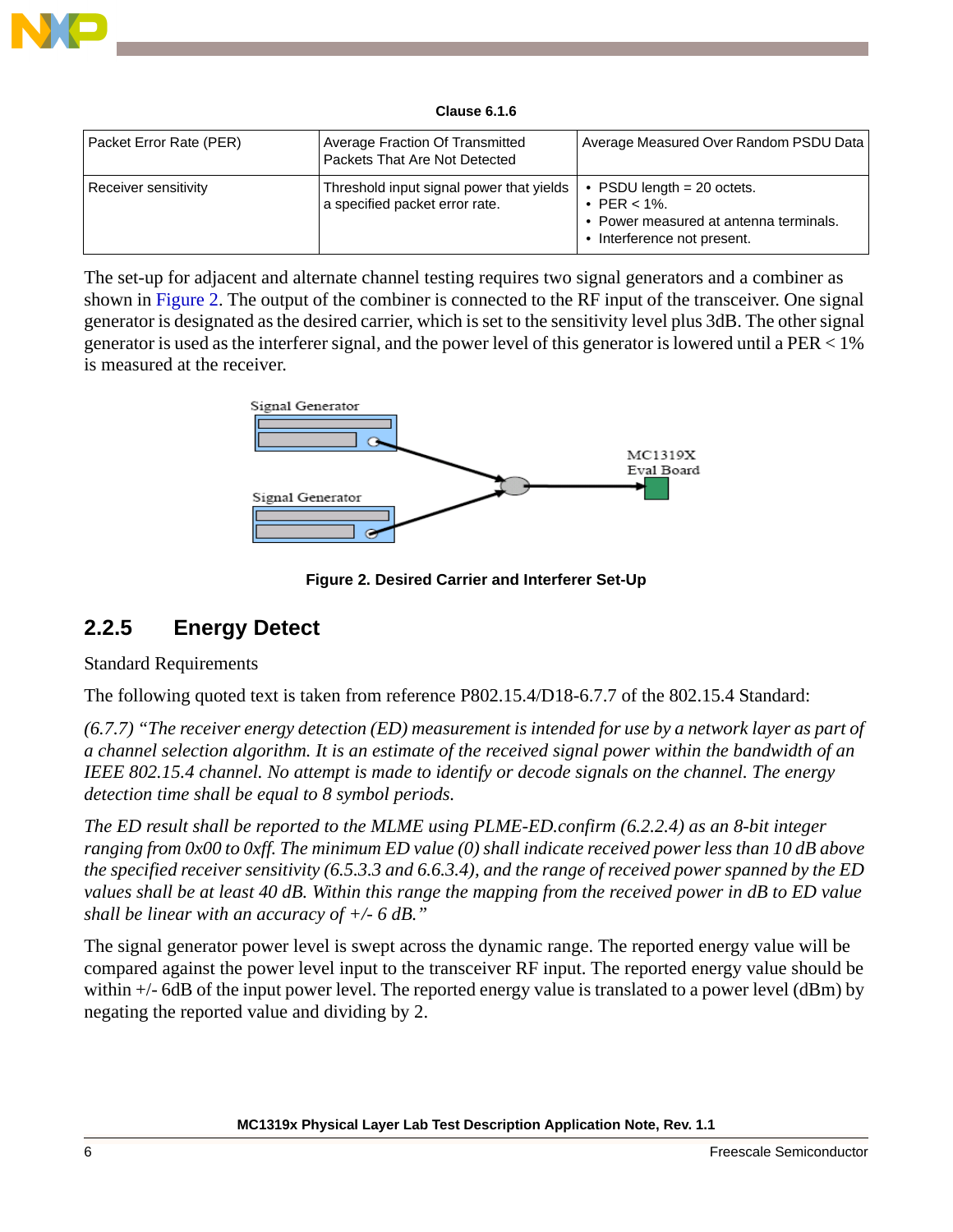

**Clause 6.1.6**

| Packet Error Rate (PER) | <b>Average Fraction Of Transmitted</b><br>Packets That Are Not Detected    | Average Measured Over Random PSDU Data                                                                                   |  |
|-------------------------|----------------------------------------------------------------------------|--------------------------------------------------------------------------------------------------------------------------|--|
| Receiver sensitivity    | Threshold input signal power that yields<br>a specified packet error rate. | • PSDU length $= 20$ octets.<br>• PER $< 1\%$ .<br>• Power measured at antenna terminals.<br>• Interference not present. |  |

The set-up for adjacent and alternate channel testing requires two signal generators and a combiner as shown in [Figure 2](#page-5-0). The output of the combiner is connected to the RF input of the transceiver. One signal generator is designated as the desired carrier, which is set to the sensitivity level plus 3dB. The other signal generator is used as the interferer signal, and the power level of this generator is lowered until a  $PER < 1\%$ is measured at the receiver.



**Figure 2. Desired Carrier and Interferer Set-Up**

## <span id="page-5-0"></span>**2.2.5 Energy Detect**

Standard Requirements

The following quoted text is taken from reference P802.15.4/D18-6.7.7 of the 802.15.4 Standard:

*(6.7.7) "The receiver energy detection (ED) measurement is intended for use by a network layer as part of a channel selection algorithm. It is an estimate of the received signal power within the bandwidth of an IEEE 802.15.4 channel. No attempt is made to identify or decode signals on the channel. The energy detection time shall be equal to 8 symbol periods.* 

*The ED result shall be reported to the MLME using PLME-ED.confirm (6.2.2.4) as an 8-bit integer ranging from 0x00 to 0xff. The minimum ED value (0) shall indicate received power less than 10 dB above the specified receiver sensitivity (6.5.3.3 and 6.6.3.4), and the range of received power spanned by the ED values shall be at least 40 dB. Within this range the mapping from the received power in dB to ED value shall be linear with an accuracy of +/- 6 dB."* 

The signal generator power level is swept across the dynamic range. The reported energy value will be compared against the power level input to the transceiver RF input. The reported energy value should be within  $+/-$  6dB of the input power level. The reported energy value is translated to a power level (dBm) by negating the reported value and dividing by 2.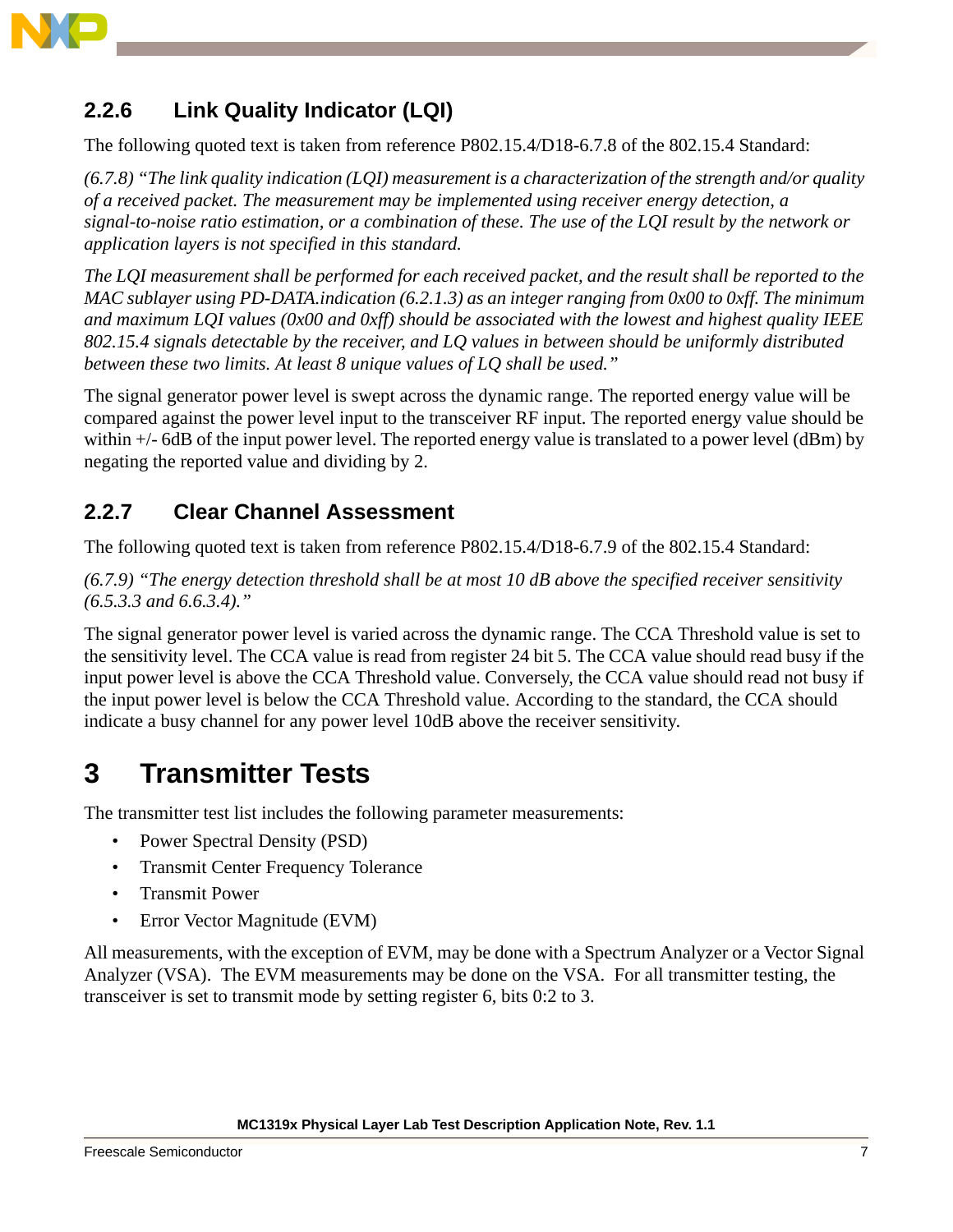

## **2.2.6 Link Quality Indicator (LQI)**

The following quoted text is taken from reference P802.15.4/D18-6.7.8 of the 802.15.4 Standard:

*(6.7.8) "The link quality indication (LQI) measurement is a characterization of the strength and/or quality of a received packet. The measurement may be implemented using receiver energy detection, a signal-to-noise ratio estimation, or a combination of these. The use of the LQI result by the network or application layers is not specified in this standard.*

*The LQI measurement shall be performed for each received packet, and the result shall be reported to the MAC sublayer using PD-DATA.indication (6.2.1.3) as an integer ranging from 0x00 to 0xff. The minimum and maximum LQI values (0x00 and 0xff) should be associated with the lowest and highest quality IEEE 802.15.4 signals detectable by the receiver, and LQ values in between should be uniformly distributed between these two limits. At least 8 unique values of LQ shall be used."* 

The signal generator power level is swept across the dynamic range. The reported energy value will be compared against the power level input to the transceiver RF input. The reported energy value should be within  $+/-$  6dB of the input power level. The reported energy value is translated to a power level (dBm) by negating the reported value and dividing by 2.

## **2.2.7 Clear Channel Assessment**

The following quoted text is taken from reference P802.15.4/D18-6.7.9 of the 802.15.4 Standard:

*(6.7.9) "The energy detection threshold shall be at most 10 dB above the specified receiver sensitivity (6.5.3.3 and 6.6.3.4)."* 

The signal generator power level is varied across the dynamic range. The CCA Threshold value is set to the sensitivity level. The CCA value is read from register 24 bit 5. The CCA value should read busy if the input power level is above the CCA Threshold value. Conversely, the CCA value should read not busy if the input power level is below the CCA Threshold value. According to the standard, the CCA should indicate a busy channel for any power level 10dB above the receiver sensitivity.

# <span id="page-6-0"></span>**3 Transmitter Tests**

The transmitter test list includes the following parameter measurements:

- Power Spectral Density (PSD)
- Transmit Center Frequency Tolerance
- Transmit Power
- Error Vector Magnitude (EVM)

All measurements, with the exception of EVM, may be done with a Spectrum Analyzer or a Vector Signal Analyzer (VSA). The EVM measurements may be done on the VSA. For all transmitter testing, the transceiver is set to transmit mode by setting register 6, bits 0:2 to 3.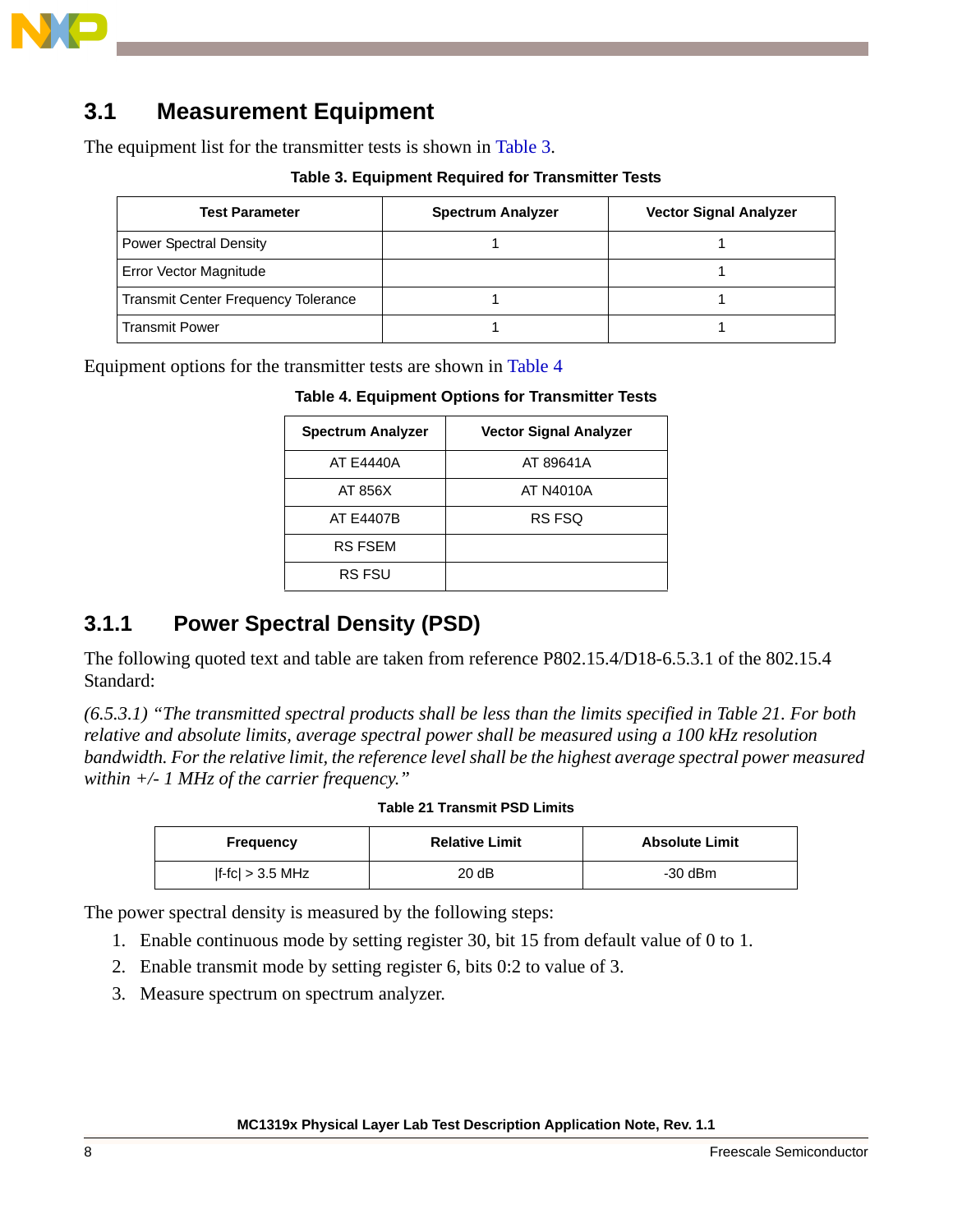

# **3.1 Measurement Equipment**

<span id="page-7-0"></span>The equipment list for the transmitter tests is shown in [Table 3](#page-7-0).

#### **Table 3. Equipment Required for Transmitter Tests**

| <b>Test Parameter</b>                      | <b>Spectrum Analyzer</b> | <b>Vector Signal Analyzer</b> |
|--------------------------------------------|--------------------------|-------------------------------|
| <b>Power Spectral Density</b>              |                          |                               |
| Error Vector Magnitude                     |                          |                               |
| <b>Transmit Center Frequency Tolerance</b> |                          |                               |
| <b>Transmit Power</b>                      |                          |                               |

<span id="page-7-1"></span>Equipment options for the transmitter tests are shown in [Table 4](#page-7-1)

#### **Table 4. Equipment Options for Transmitter Tests**

| <b>Spectrum Analyzer</b> | <b>Vector Signal Analyzer</b> |
|--------------------------|-------------------------------|
| AT E4440A                | AT 89641A                     |
| AT 856X                  | AT N4010A                     |
| <b>AT E4407B</b>         | RS FSQ                        |
| <b>RS FSEM</b>           |                               |
| <b>RS FSU</b>            |                               |

## **3.1.1 Power Spectral Density (PSD)**

The following quoted text and table are taken from reference P802.15.4/D18-6.5.3.1 of the 802.15.4 Standard:

*(6.5.3.1) "The transmitted spectral products shall be less than the limits specified in Table 21. For both relative and absolute limits, average spectral power shall be measured using a 100 kHz resolution bandwidth. For the relative limit, the reference level shall be the highest average spectral power measured within +/- 1 MHz of the carrier frequency."*

#### **Table 21 Transmit PSD Limits**

| Frequency          | <b>Relative Limit</b> | <b>Absolute Limit</b> |
|--------------------|-----------------------|-----------------------|
| $ f-fc  > 3.5$ MHz | 20dB                  | $-30$ dBm             |

The power spectral density is measured by the following steps:

- 1. Enable continuous mode by setting register 30, bit 15 from default value of 0 to 1.
- 2. Enable transmit mode by setting register 6, bits 0:2 to value of 3.
- 3. Measure spectrum on spectrum analyzer.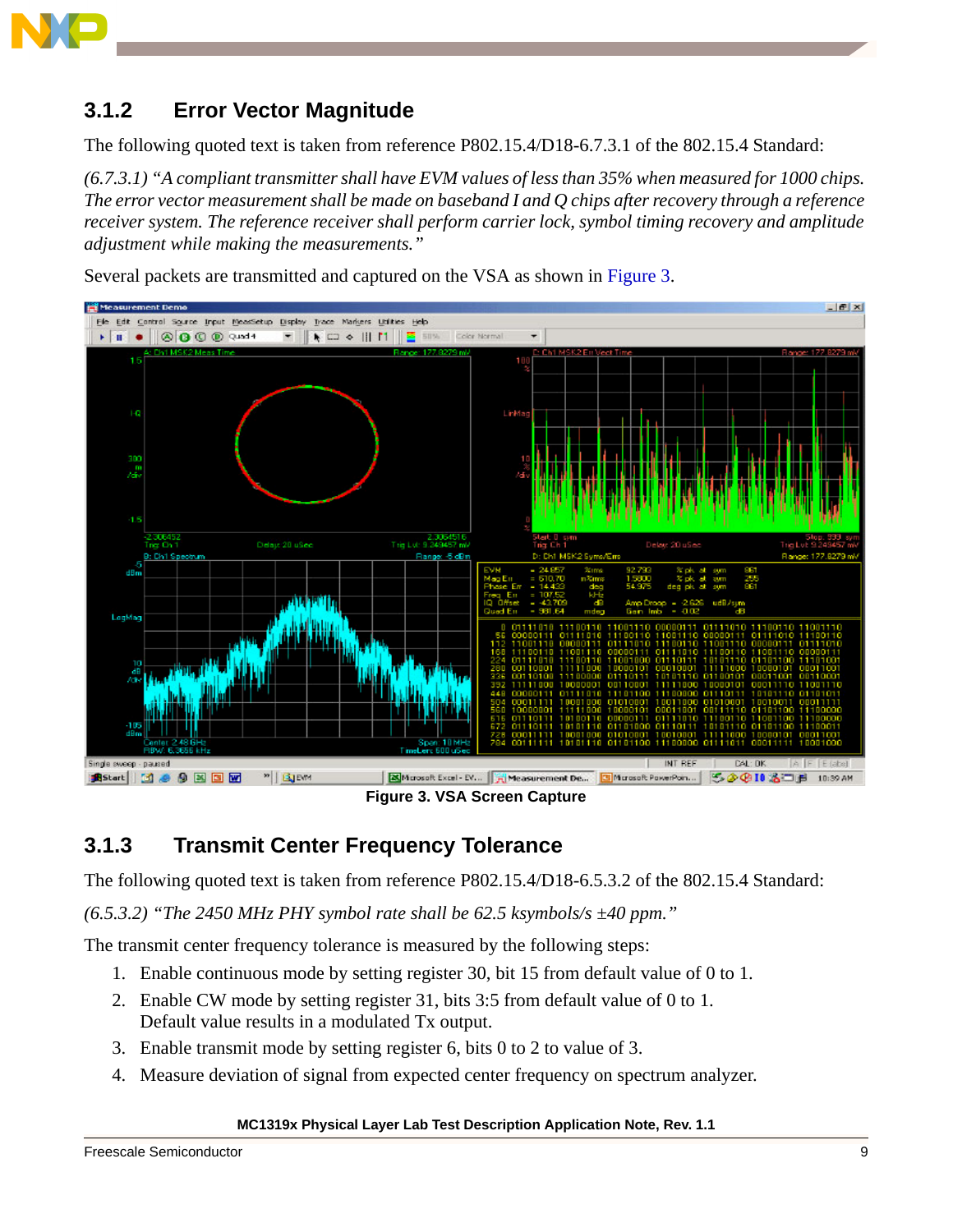

## **3.1.2 Error Vector Magnitude**

The following quoted text is taken from reference P802.15.4/D18-6.7.3.1 of the 802.15.4 Standard:

*(6.7.3.1) "A compliant transmitter shall have EVM values of less than 35% when measured for 1000 chips. The error vector measurement shall be made on baseband I and Q chips after recovery through a reference receiver system. The reference receiver shall perform carrier lock, symbol timing recovery and amplitude adjustment while making the measurements."* 



Several packets are transmitted and captured on the VSA as shown in [Figure 3.](#page-8-0)

**Figure 3. VSA Screen Capture** 

## <span id="page-8-0"></span>**3.1.3 Transmit Center Frequency Tolerance**

The following quoted text is taken from reference P802.15.4/D18-6.5.3.2 of the 802.15.4 Standard:

*(6.5.3.2) "The 2450 MHz PHY symbol rate shall be 62.5 ksymbols/s ±40 ppm."* 

The transmit center frequency tolerance is measured by the following steps:

- 1. Enable continuous mode by setting register 30, bit 15 from default value of 0 to 1.
- 2. Enable CW mode by setting register 31, bits 3:5 from default value of 0 to 1. Default value results in a modulated Tx output.
- 3. Enable transmit mode by setting register 6, bits 0 to 2 to value of 3.
- 4. Measure deviation of signal from expected center frequency on spectrum analyzer.

#### **MC1319x Physical Layer Lab Test Description Application Note, Rev. 1.1**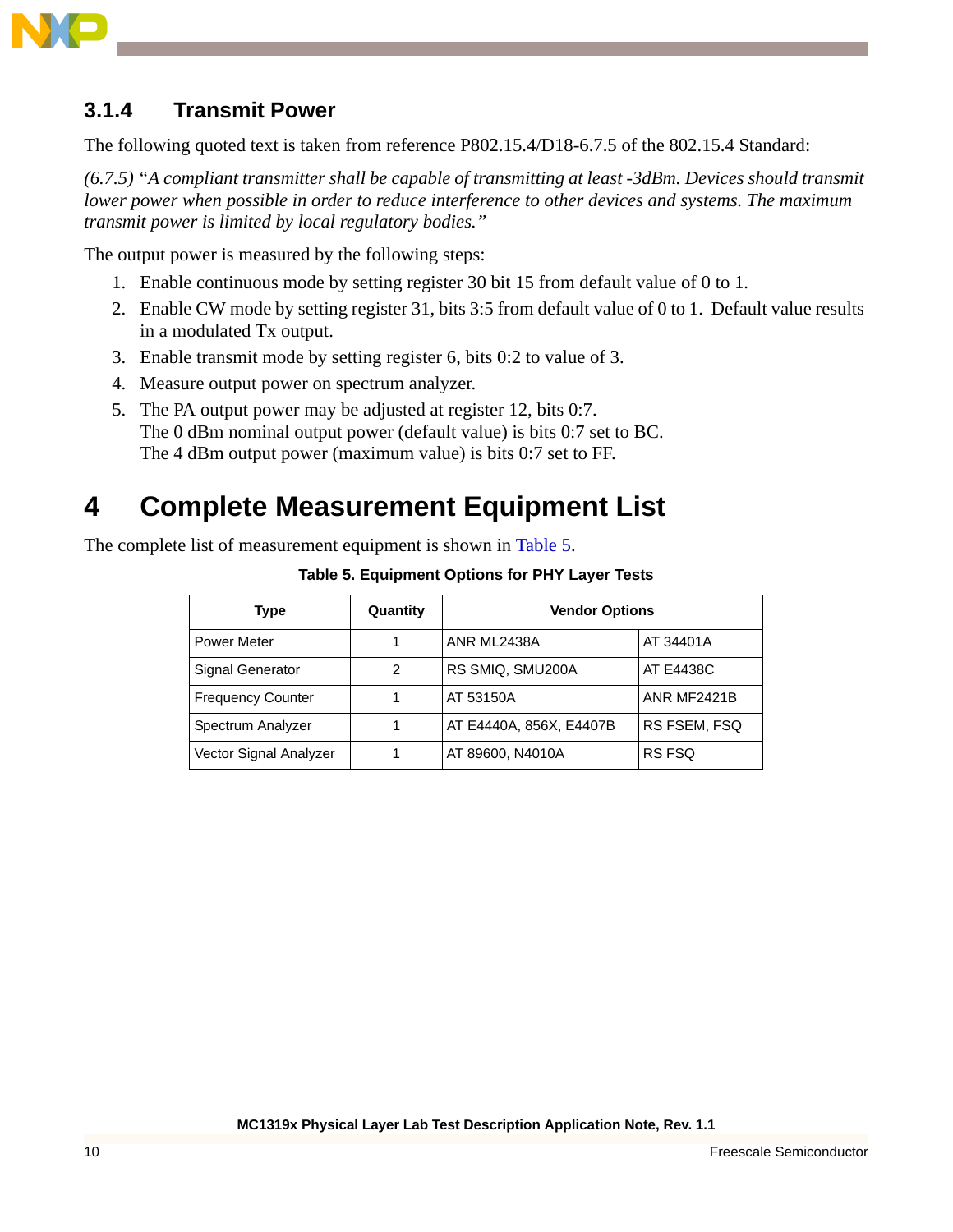

### **3.1.4 Transmit Power**

The following quoted text is taken from reference P802.15.4/D18-6.7.5 of the 802.15.4 Standard:

*(6.7.5) "A compliant transmitter shall be capable of transmitting at least -3dBm. Devices should transmit lower power when possible in order to reduce interference to other devices and systems. The maximum transmit power is limited by local regulatory bodies."*

The output power is measured by the following steps:

- 1. Enable continuous mode by setting register 30 bit 15 from default value of 0 to 1.
- 2. Enable CW mode by setting register 31, bits 3:5 from default value of 0 to 1. Default value results in a modulated Tx output.
- 3. Enable transmit mode by setting register 6, bits 0:2 to value of 3.
- 4. Measure output power on spectrum analyzer.
- 5. The PA output power may be adjusted at register 12, bits 0:7. The 0 dBm nominal output power (default value) is bits 0:7 set to BC. The 4 dBm output power (maximum value) is bits 0:7 set to FF.

# <span id="page-9-0"></span>**4 Complete Measurement Equipment List**

<span id="page-9-1"></span>The complete list of measurement equipment is shown in [Table 5.](#page-9-1)

| <b>Type</b>              | Quantity | <b>Vendor Options</b>   |              |
|--------------------------|----------|-------------------------|--------------|
| <b>Power Meter</b>       |          | ANR ML2438A             | AT 34401A    |
| Signal Generator         | 2        | RS SMIQ, SMU200A        | AT E4438C    |
| <b>Frequency Counter</b> |          | <b>AT 53150A</b>        | ANR MF2421B  |
| Spectrum Analyzer        |          | AT E4440A, 856X, E4407B | RS FSEM, FSQ |
| Vector Signal Analyzer   |          | AT 89600, N4010A        | RS FSQ       |

**Table 5. Equipment Options for PHY Layer Tests**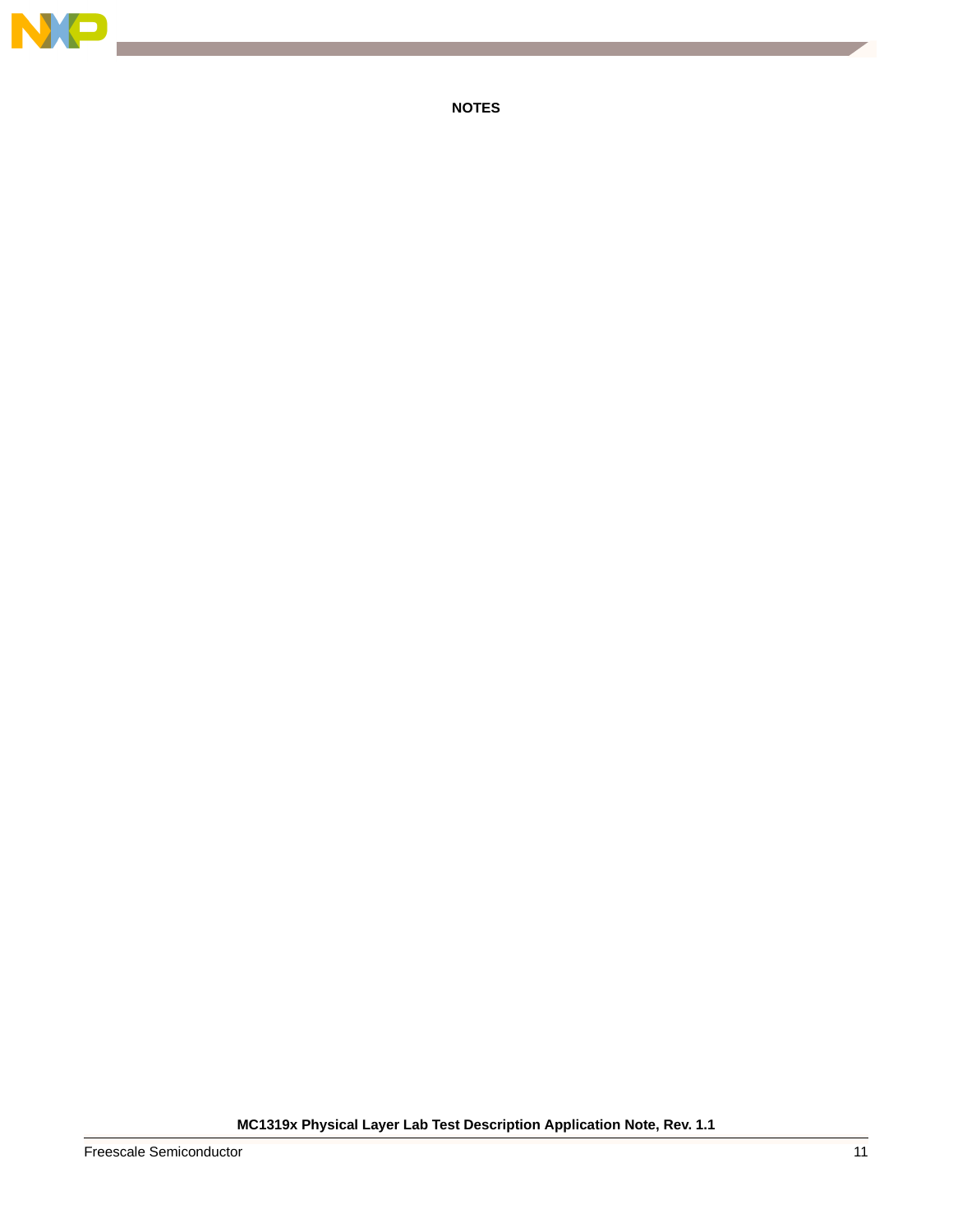

**NOTES**